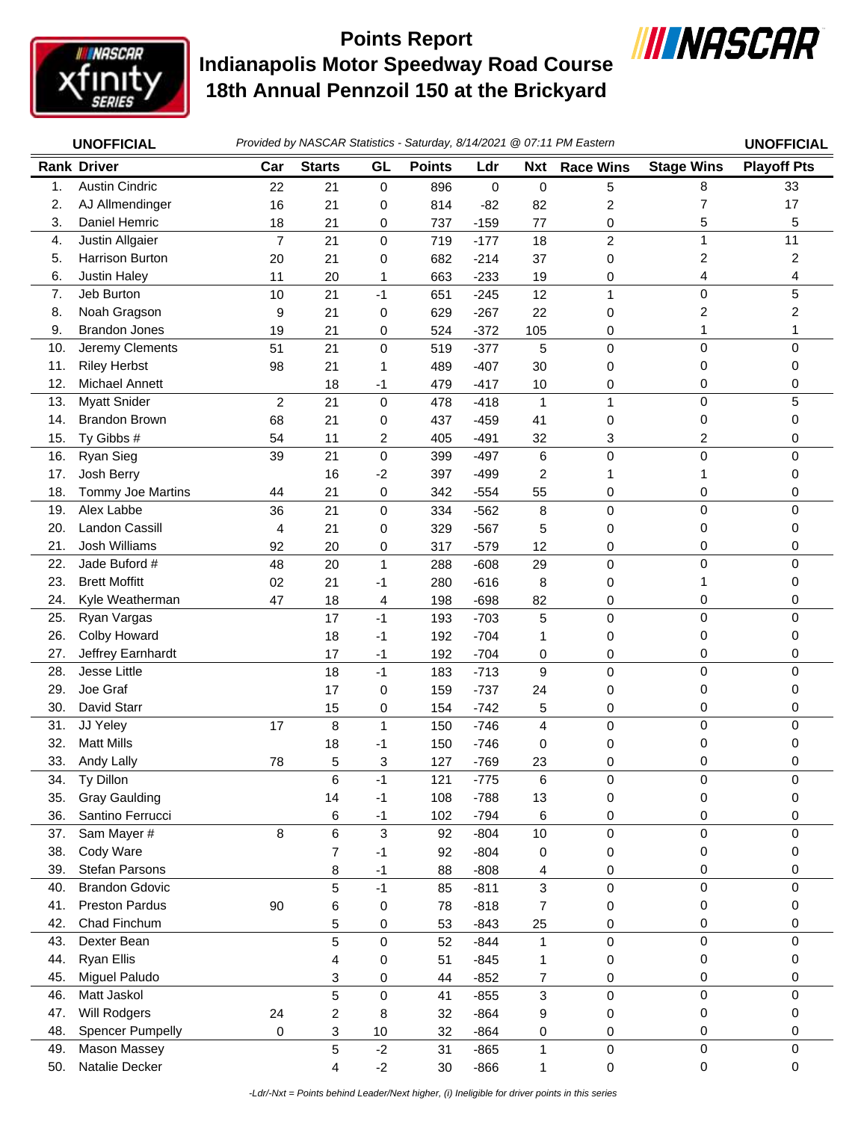

## **Indianapolis Motor Speedway Road Course 18th Annual Pennzoil 150 at the Brickyard Points Report**



|     | Provided by NASCAR Statistics - Saturday, 8/14/2021 @ 07:11 PM Eastern<br><b>UNOFFICIAL</b> |                |                |              |               |             |                         | <b>UNOFFICIAL</b> |                   |                         |
|-----|---------------------------------------------------------------------------------------------|----------------|----------------|--------------|---------------|-------------|-------------------------|-------------------|-------------------|-------------------------|
|     | <b>Rank Driver</b>                                                                          | Car            | <b>Starts</b>  | GL           | <b>Points</b> | Ldr         | <b>Nxt</b>              | <b>Race Wins</b>  | <b>Stage Wins</b> | <b>Playoff Pts</b>      |
| 1.  | <b>Austin Cindric</b>                                                                       | 22             | 21             | 0            | 896           | $\mathbf 0$ | 0                       | 5                 | 8                 | 33                      |
| 2.  | AJ Allmendinger                                                                             | 16             | 21             | 0            | 814           | $-82$       | 82                      | 2                 | 7                 | 17                      |
| 3.  | Daniel Hemric                                                                               | 18             | 21             | 0            | 737           | $-159$      | 77                      | 0                 | 5                 | 5                       |
| 4.  | Justin Allgaier                                                                             | $\overline{7}$ | 21             | $\mathbf 0$  | 719           | $-177$      | 18                      | $\overline{c}$    | $\mathbf{1}$      | 11                      |
| 5.  | Harrison Burton                                                                             | 20             | 21             | 0            | 682           | $-214$      | 37                      | 0                 | 2                 | $\overline{\mathbf{c}}$ |
| 6.  | <b>Justin Haley</b>                                                                         | 11             | 20             | 1            | 663           | $-233$      | 19                      | 0                 | 4                 | 4                       |
| 7.  | Jeb Burton                                                                                  | 10             | 21             | $-1$         | 651           | $-245$      | 12                      | 1                 | $\mathbf 0$       | 5                       |
| 8.  | Noah Gragson                                                                                | 9              | 21             | 0            | 629           | $-267$      | 22                      | 0                 | 2                 | 2                       |
| 9.  | <b>Brandon Jones</b>                                                                        | 19             | 21             | 0            | 524           | $-372$      | 105                     | 0                 | 1                 | 1                       |
| 10. | Jeremy Clements                                                                             | 51             | 21             | 0            | 519           | $-377$      | 5                       | 0                 | $\mathbf 0$       | 0                       |
| 11. | <b>Riley Herbst</b>                                                                         | 98             | 21             | 1            | 489           | $-407$      | 30                      | 0                 | 0                 | 0                       |
| 12. | Michael Annett                                                                              |                | 18             | -1           | 479           | $-417$      | 10                      | 0                 | 0                 | 0                       |
| 13. | <b>Myatt Snider</b>                                                                         | $\overline{c}$ | 21             | $\mathbf 0$  | 478           | $-418$      | $\mathbf{1}$            | 1                 | $\mathbf 0$       | 5                       |
| 14. | <b>Brandon Brown</b>                                                                        | 68             | 21             | 0            | 437           | $-459$      | 41                      | 0                 | 0                 | 0                       |
| 15. | Ty Gibbs #                                                                                  | 54             | 11             | 2            | 405           | $-491$      | 32                      | 3                 | 2                 | 0                       |
| 16. | Ryan Sieg                                                                                   | 39             | 21             | 0            | 399           | $-497$      | 6                       | 0                 | $\mathbf 0$       | $\Omega$                |
| 17. | Josh Berry                                                                                  |                | 16             | $-2$         | 397           | $-499$      | 2                       |                   | 1                 | 0                       |
| 18. | Tommy Joe Martins                                                                           | 44             | 21             | 0            | 342           | $-554$      | 55                      | 0                 | 0                 | 0                       |
| 19. | Alex Labbe                                                                                  | 36             | 21             | 0            | 334           | $-562$      | 8                       | 0                 | $\mathbf 0$       | 0                       |
| 20. | <b>Landon Cassill</b>                                                                       | 4              | 21             | 0            | 329           | $-567$      | 5                       | 0                 | 0                 | 0                       |
| 21. | Josh Williams                                                                               | 92             | 20             | 0            | 317           | $-579$      | 12                      | 0                 | 0                 | 0                       |
| 22. | Jade Buford #                                                                               | 48             | 20             | $\mathbf{1}$ | 288           | $-608$      | 29                      | 0                 | $\mathbf 0$       | 0                       |
| 23. | <b>Brett Moffitt</b>                                                                        | 02             | 21             | $-1$         | 280           | $-616$      | 8                       | 0                 | 1                 | 0                       |
| 24. | Kyle Weatherman                                                                             | 47             | 18             | 4            | 198           | $-698$      | 82                      | 0                 | 0                 | 0                       |
| 25. | Ryan Vargas                                                                                 |                | 17             | $-1$         | 193           | $-703$      | $\sqrt{5}$              | 0                 | $\mathbf 0$       | $\Omega$                |
| 26. | Colby Howard                                                                                |                | 18             | -1           | 192           | $-704$      | 1                       | 0                 | 0                 | 0                       |
| 27. | Jeffrey Earnhardt                                                                           |                | 17             | $-1$         | 192           | $-704$      | 0                       | 0                 | 0                 | 0                       |
| 28. | Jesse Little                                                                                |                | 18             | $-1$         | 183           | $-713$      | 9                       | 0                 | $\mathbf 0$       | 0                       |
| 29. | Joe Graf                                                                                    |                | 17             | $\mathbf 0$  | 159           | $-737$      | 24                      | 0                 | 0                 | 0                       |
| 30. | David Starr                                                                                 |                | 15             | 0            | 154           | $-742$      | 5                       | 0                 | 0                 | 0                       |
| 31. | JJ Yeley                                                                                    | 17             | 8              | $\mathbf{1}$ | 150           | $-746$      | $\overline{\mathbf{4}}$ | 0                 | $\mathbf 0$       | 0                       |
| 32. | <b>Matt Mills</b>                                                                           |                | 18             | $-1$         | 150           | $-746$      | 0                       | 0                 | 0                 | 0                       |
| 33. | Andy Lally                                                                                  | 78             | 5              | 3            | 127           | $-769$      | 23                      | 0                 | 0                 | 0                       |
| 34. | Ty Dillon                                                                                   |                | 6              | $-1$         | 121           | $-775$      | 6                       | 0                 | 0                 | 0                       |
| 35. | <b>Gray Gaulding</b>                                                                        |                | 14             | -1           | 108           | $-788$      | 13                      | 0                 | 0                 | 0                       |
| 36. | Santino Ferrucci                                                                            |                | 6              | $-1$         | 102           | $-794$      | 6                       | 0                 | 0                 | 0                       |
| 37. | Sam Mayer #                                                                                 | 8              | 6              | 3            | 92            | $-804$      | 10                      | 0                 | $\mathbf 0$       | 0                       |
| 38. | Cody Ware                                                                                   |                | $\overline{7}$ | -1           | 92            | $-804$      | 0                       | 0                 | 0                 | 0                       |
| 39. | Stefan Parsons                                                                              |                | 8              | -1           | 88            | $-808$      | 4                       | 0                 | 0                 | 0                       |
| 40. | <b>Brandon Gdovic</b>                                                                       |                | 5              | $-1$         | 85            | $-811$      | 3                       | 0                 | $\pmb{0}$         | 0                       |
| 41. | <b>Preston Pardus</b>                                                                       | 90             | 6              | 0            | 78            | $-818$      | 7                       | 0                 | 0                 | 0                       |
| 42. | Chad Finchum                                                                                |                | 5              | 0            | 53            | $-843$      | 25                      | 0                 | 0                 | 0                       |
| 43. | Dexter Bean                                                                                 |                | 5              | 0            | 52            | $-844$      | $\mathbf{1}$            | 0                 | $\mathbf 0$       | 0                       |
| 44. | <b>Ryan Ellis</b>                                                                           |                | 4              | 0            | 51            | $-845$      | 1                       | 0                 | 0                 | 0                       |
| 45. | Miguel Paludo                                                                               |                | 3              | 0            | 44            | $-852$      | 7                       | 0                 | 0                 | 0                       |
| 46. | Matt Jaskol                                                                                 |                | 5              | 0            | 41            | $-855$      | 3                       | 0                 | $\mathbf 0$       | 0                       |
| 47. | Will Rodgers                                                                                | 24             | $\overline{c}$ | 8            | 32            | $-864$      | 9                       | 0                 | 0                 | 0                       |
| 48. | <b>Spencer Pumpelly</b>                                                                     | 0              | 3              | 10           | 32            | $-864$      | 0                       | 0                 | 0                 | 0                       |
| 49. | <b>Mason Massey</b>                                                                         |                | 5              | $-2$         | 31            | $-865$      | 1                       | 0                 | 0                 | 0                       |
| 50. | Natalie Decker                                                                              |                | 4              | $-2$         | 30            | $-866$      | 1                       | 0                 | 0                 | 0                       |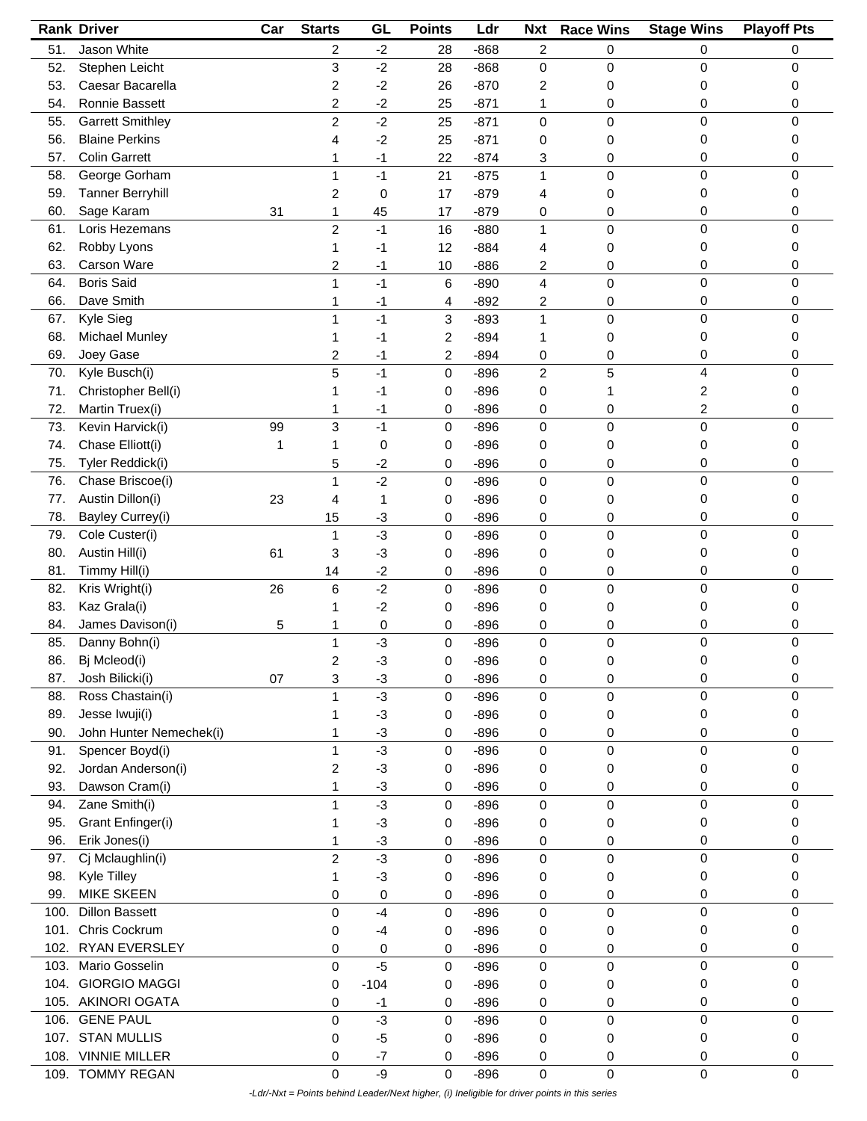|      | <b>Rank Driver</b>      | Car | <b>Starts</b>  | GL     | <b>Points</b> | Ldr    | <b>Nxt</b>     | <b>Race Wins</b> | <b>Stage Wins</b> | <b>Playoff Pts</b> |
|------|-------------------------|-----|----------------|--------|---------------|--------|----------------|------------------|-------------------|--------------------|
| 51.  | Jason White             |     | 2              | $-2$   | 28            | $-868$ | $\overline{c}$ | 0                | 0                 | 0                  |
| 52.  | Stephen Leicht          |     | 3              | $-2$   | 28            | $-868$ | $\mathbf 0$    | 0                | 0                 | 0                  |
| 53.  | Caesar Bacarella        |     | 2              | $-2$   | 26            | $-870$ | 2              | 0                | 0                 | 0                  |
| 54.  | Ronnie Bassett          |     | 2              | $-2$   | 25            | $-871$ | 1              | 0                | 0                 | 0                  |
| 55.  | <b>Garrett Smithley</b> |     | $\overline{c}$ | $-2$   | 25            | $-871$ | 0              | 0                | 0                 | 0                  |
|      | <b>Blaine Perkins</b>   |     |                |        |               |        |                |                  |                   |                    |
| 56.  |                         |     | 4              | $-2$   | 25            | $-871$ | 0              | 0                | 0                 | 0                  |
| 57.  | <b>Colin Garrett</b>    |     | 1              | $-1$   | 22            | $-874$ | 3              | 0                | 0                 | 0                  |
| 58.  | George Gorham           |     | 1              | $-1$   | 21            | $-875$ | 1              | 0                | $\mathbf 0$       | 0                  |
| 59.  | <b>Tanner Berryhill</b> |     | 2              | 0      | 17            | $-879$ | 4              | 0                | 0                 | 0                  |
| 60.  | Sage Karam              | 31  | 1              | 45     | 17            | $-879$ | 0              | 0                | 0                 | 0                  |
| 61.  | Loris Hezemans          |     | $\overline{c}$ | $-1$   | 16            | $-880$ | $\mathbf{1}$   | 0                | 0                 | 0                  |
| 62.  | Robby Lyons             |     | 1              | -1     | 12            | $-884$ | 4              | 0                | 0                 | 0                  |
| 63.  | Carson Ware             |     | 2              | -1     | 10            | $-886$ | 2              | 0                | 0                 | 0                  |
| 64.  | <b>Boris Said</b>       |     | 1              | $-1$   | 6             | $-890$ | 4              | $\mathsf 0$      | 0                 | $\Omega$           |
| 66.  | Dave Smith              |     | 1              | $-1$   | 4             | $-892$ | 2              | 0                | 0                 | 0                  |
| 67.  | Kyle Sieg               |     | 1              | $-1$   | 3             | $-893$ | 1              | $\mathbf 0$      | $\mathbf 0$       | 0                  |
| 68.  | <b>Michael Munley</b>   |     |                | -1     | 2             | $-894$ | 1              | 0                | 0                 | 0                  |
| 69.  | Joey Gase               |     | 2              | -1     | 2             | $-894$ | 0              | 0                | 0                 | 0                  |
| 70.  | Kyle Busch(i)           |     | 5              | $-1$   |               | $-896$ | $\overline{c}$ | 5                | 4                 | 0                  |
|      |                         |     |                |        | 0             |        |                |                  |                   |                    |
| 71.  | Christopher Bell(i)     |     |                | -1     | 0             | $-896$ | 0              | 1                | 2                 | 0                  |
| 72.  | Martin Truex(i)         |     | 1              | -1     | 0             | $-896$ | 0              | 0                | 2                 | 0                  |
| 73.  | Kevin Harvick(i)        | 99  | 3              | $-1$   | 0             | $-896$ | $\mathbf 0$    | $\mathsf 0$      | 0                 | 0                  |
| 74.  | Chase Elliott(i)        | 1   | 1              | 0      | 0             | $-896$ | 0              | 0                | 0                 | 0                  |
| 75.  | Tyler Reddick(i)        |     | 5              | $-2$   | 0             | $-896$ | 0              | 0                | 0                 | 0                  |
| 76.  | Chase Briscoe(i)        |     | 1              | $-2$   | 0             | $-896$ | $\mathbf 0$    | 0                | 0                 | 0                  |
| 77.  | Austin Dillon(i)        | 23  | 4              | 1      | 0             | $-896$ | 0              | 0                | 0                 | 0                  |
| 78.  | Bayley Currey(i)        |     | 15             | $-3$   | 0             | $-896$ | 0              | 0                | 0                 | 0                  |
| 79.  | Cole Custer(i)          |     | 1              | $-3$   | 0             | $-896$ | $\mathbf 0$    | $\mathsf 0$      | $\mathbf 0$       | 0                  |
| 80.  | Austin Hill(i)          | 61  | 3              | $-3$   | 0             | $-896$ | 0              | 0                | 0                 | 0                  |
| 81.  | Timmy Hill(i)           |     | 14             | $-2$   | 0             | $-896$ | 0              | 0                | 0                 | 0                  |
| 82.  | Kris Wright(i)          | 26  | 6              | $-2$   | 0             | $-896$ | 0              | 0                | 0                 | 0                  |
| 83.  | Kaz Grala(i)            |     | 1              |        |               |        |                |                  | 0                 | 0                  |
|      |                         |     |                | $-2$   | 0             | $-896$ | 0              | 0                |                   |                    |
| 84.  | James Davison(i)        | 5   | 1              | 0      | 0             | $-896$ | 0              | 0                | 0                 | 0                  |
| 85.  | Danny Bohn(i)           |     | 1              | $-3$   | 0             | $-896$ | $\mathbf 0$    | 0                | 0                 | 0                  |
| 86.  | Bj Mcleod(i)            |     | 2              | $-3$   | 0             | $-896$ | $\mathbf 0$    | 0                | 0                 | 0                  |
| 87.  | Josh Bilicki(i)         | 07  | 3              | $-3$   | 0             | $-896$ | 0              | 0                | 0                 | 0                  |
| 88.  | Ross Chastain(i)        |     | 1              | $-3$   | 0             | $-896$ | $\mathbf 0$    | $\mathsf 0$      | 0                 | 0                  |
| 89.  | Jesse Iwuji(i)          |     |                | $-3$   | 0             | $-896$ | 0              | 0                | 0                 | 0                  |
| 90.  | John Hunter Nemechek(i) |     | 1              | $-3$   | 0             | $-896$ | 0              | 0                | 0                 | 0                  |
| 91.  | Spencer Boyd(i)         |     | 1              | $-3$   | 0             | $-896$ | $\mathbf 0$    | $\mathbf 0$      | $\mathbf 0$       | 0                  |
| 92.  | Jordan Anderson(i)      |     | 2              | $-3$   | 0             | $-896$ | 0              | 0                | 0                 | 0                  |
| 93.  | Dawson Cram(i)          |     | 1              | $-3$   | 0             | $-896$ | 0              | 0                | 0                 | 0                  |
| 94.  | Zane Smith(i)           |     | 1              | $-3$   | 0             | $-896$ | 0              | $\mathbf 0$      | $\pmb{0}$         | 0                  |
| 95.  | Grant Enfinger(i)       |     |                | $-3$   | 0             | $-896$ | 0              | 0                | 0                 | 0                  |
| 96.  | Erik Jones(i)           |     |                | $-3$   |               | $-896$ |                |                  | 0                 | 0                  |
|      |                         |     | 1              |        | 0             |        | 0              | 0                |                   | 0                  |
| 97.  | Cj Mclaughlin(i)        |     | $\overline{c}$ | $-3$   | 0             | $-896$ | 0              | 0                | 0                 |                    |
| 98.  | Kyle Tilley             |     | 1              | $-3$   | 0             | $-896$ | 0              | 0                | 0                 | 0                  |
| 99.  | <b>MIKE SKEEN</b>       |     | 0              | 0      | 0             | $-896$ | 0              | 0                | 0                 | 0                  |
| 100. | <b>Dillon Bassett</b>   |     | 0              | $-4$   | 0             | $-896$ | $\mathbf 0$    | 0                | 0                 | 0                  |
| 101. | Chris Cockrum           |     | 0              | $-4$   | 0             | $-896$ | 0              | 0                | 0                 | 0                  |
| 102. | RYAN EVERSLEY           |     | 0              | 0      | 0             | $-896$ | 0              | 0                | 0                 | 0                  |
| 103. | Mario Gosselin          |     | 0              | $-5$   | 0             | $-896$ | $\pmb{0}$      | $\mathbf 0$      | 0                 | 0                  |
| 104. | <b>GIORGIO MAGGI</b>    |     | 0              | $-104$ | 0             | $-896$ | 0              | 0                | 0                 | 0                  |
| 105. | <b>AKINORI OGATA</b>    |     | 0              | $-1$   | 0             | $-896$ | 0              | 0                | 0                 | 0                  |
| 106. | <b>GENE PAUL</b>        |     | 0              | $-3$   | 0             | $-896$ | 0              | 0                | $\pmb{0}$         | 0                  |
|      | 107. STAN MULLIS        |     | 0              | $-5$   | 0             | $-896$ | 0              | 0                | 0                 | 0                  |
| 108. | <b>VINNIE MILLER</b>    |     | 0              | $-7$   | 0             | $-896$ | 0              | 0                | 0                 | 0                  |
|      | <b>TOMMY REGAN</b>      |     |                | -9     |               |        |                |                  | $\mathbf 0$       | 0                  |
| 109. |                         |     | 0              |        | 0             | $-896$ | 0              | 0                |                   |                    |